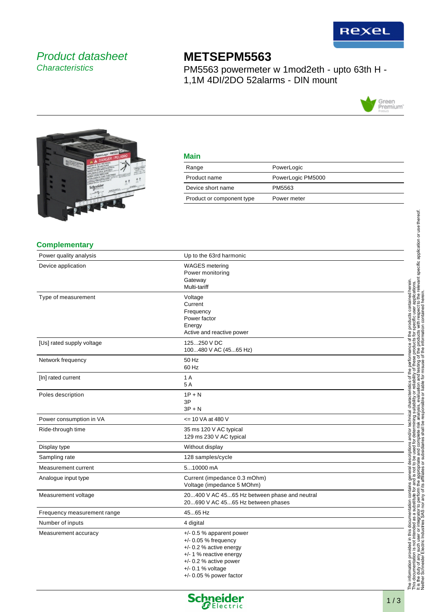

# Product datasheet **Characteristics**

# **METSEPM5563**

PM5563 powermeter w 1mod2eth - upto 63th H - 1,1M 4DI/2DO 52alarms - DIN mount





|     | I |
|-----|---|
|     |   |
| ___ |   |
|     |   |

| Range                     | PowerLogic        |
|---------------------------|-------------------|
| Product name              | PowerLogic PM5000 |
| Device short name         | PM5563            |
| Product or component type | Power meter       |
|                           |                   |

#### **Complementary**

| Power quality analysis      | Up to the 63rd harmonic                                                                                                                                                                      |  |
|-----------------------------|----------------------------------------------------------------------------------------------------------------------------------------------------------------------------------------------|--|
| Device application          | <b>WAGES</b> metering<br>Power monitoring<br>Gateway<br>Multi-tariff                                                                                                                         |  |
| Type of measurement         | Voltage<br>Current<br>Frequency<br>Power factor<br>Energy<br>Active and reactive power                                                                                                       |  |
| [Us] rated supply voltage   | 125250 V DC<br>100480 V AC (4565 Hz)                                                                                                                                                         |  |
| Network frequency           | 50 Hz<br>60 Hz                                                                                                                                                                               |  |
| [In] rated current          | 1 A<br>5A                                                                                                                                                                                    |  |
| Poles description           | $1P + N$<br>3P<br>$3P + N$                                                                                                                                                                   |  |
| Power consumption in VA     | <= 10 VA at 480 V                                                                                                                                                                            |  |
| Ride-through time           | 35 ms 120 V AC typical<br>129 ms 230 V AC typical                                                                                                                                            |  |
| Display type                | Without display                                                                                                                                                                              |  |
| Sampling rate               | 128 samples/cycle                                                                                                                                                                            |  |
| Measurement current         | 510000 mA                                                                                                                                                                                    |  |
| Analogue input type         | Current (impedance 0.3 mOhm)<br>Voltage (impedance 5 MOhm)                                                                                                                                   |  |
| Measurement voltage         | 20400 V AC 4565 Hz between phase and neutral<br>20690 V AC 4565 Hz between phases                                                                                                            |  |
| Frequency measurement range | 4565 Hz                                                                                                                                                                                      |  |
| Number of inputs            | 4 digital                                                                                                                                                                                    |  |
| Measurement accuracy        | $+/-$ 0.5 % apparent power<br>$+/-$ 0.05 % frequency<br>$+/- 0.2$ % active energy<br>+/- 1 % reactive energy<br>$+/- 0.2$ % active power<br>$+/- 0.1 %$ voltage<br>$+/-$ 0.05 % power factor |  |

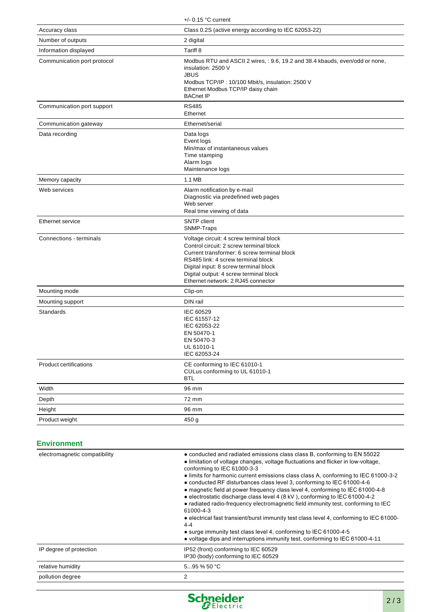|                               | $+/-$ 0.15 °C current                                                                                                                                                                                                                                                                            |  |
|-------------------------------|--------------------------------------------------------------------------------------------------------------------------------------------------------------------------------------------------------------------------------------------------------------------------------------------------|--|
| Accuracy class                | Class 0.2S (active energy according to IEC 62053-22)                                                                                                                                                                                                                                             |  |
| Number of outputs             | 2 digital                                                                                                                                                                                                                                                                                        |  |
| Information displayed         | Tariff 8                                                                                                                                                                                                                                                                                         |  |
| Communication port protocol   | Modbus RTU and ASCII 2 wires, : 9.6, 19.2 and 38.4 kbauds, even/odd or none,<br>insulation: 2500 V<br><b>JBUS</b><br>Modbus TCP/IP: 10/100 Mbit/s, insulation: 2500 V<br>Ethernet Modbus TCP/IP daisy chain<br><b>BACnet IP</b>                                                                  |  |
| Communication port support    | <b>RS485</b><br>Ethernet                                                                                                                                                                                                                                                                         |  |
| Communication gateway         | Ethernet/serial                                                                                                                                                                                                                                                                                  |  |
| Data recording                | Data logs<br>Event logs<br>Min/max of instantaneous values<br>Time stamping<br>Alarm logs<br>Maintenance logs                                                                                                                                                                                    |  |
| Memory capacity               | 1.1 MB                                                                                                                                                                                                                                                                                           |  |
| Web services                  | Alarm notification by e-mail<br>Diagnostic via predefined web pages<br>Web server<br>Real time viewing of data                                                                                                                                                                                   |  |
| Ethernet service              | <b>SNTP</b> client<br>SNMP-Traps                                                                                                                                                                                                                                                                 |  |
| Connections - terminals       | Voltage circuit: 4 screw terminal block<br>Control circuit: 2 screw terminal block<br>Current transformer: 6 screw terminal block<br>RS485 link: 4 screw terminal block<br>Digital input: 8 screw terminal block<br>Digital output: 4 screw terminal block<br>Ethernet network: 2 RJ45 connector |  |
| Mounting mode                 | Clip-on                                                                                                                                                                                                                                                                                          |  |
| Mounting support              | DIN rail                                                                                                                                                                                                                                                                                         |  |
| Standards                     | IEC 60529<br>IEC 61557-12<br>IEC 62053-22<br>EN 50470-1<br>EN 50470-3<br>UL 61010-1<br>IEC 62053-24                                                                                                                                                                                              |  |
| <b>Product certifications</b> | CE conforming to IEC 61010-1<br>CULus conforming to UL 61010-1<br><b>BTL</b>                                                                                                                                                                                                                     |  |
| Width                         | 96 mm                                                                                                                                                                                                                                                                                            |  |
| Depth                         | 72 mm                                                                                                                                                                                                                                                                                            |  |
| Height                        | 96 mm                                                                                                                                                                                                                                                                                            |  |
| Product weight                | 450 g                                                                                                                                                                                                                                                                                            |  |

### **Environment**

| electromagnetic compatibility | • conducted and radiated emissions class class B, conforming to EN 55022<br>• limitation of voltage changes, voltage fluctuations and flicker in low-voltage,<br>conforming to IEC 61000-3-3<br>• limits for harmonic current emissions class class A, conforming to IEC 61000-3-2<br>• conducted RF disturbances class level 3, conforming to IEC 61000-4-6<br>• magnetic field at power frequency class level 4, conforming to IEC 61000-4-8<br>• electrostatic discharge class level 4 (8 kV), conforming to IEC 61000-4-2<br>• radiated radio-frequency electromagnetic field immunity test, conforming to IEC<br>61000-4-3<br>• electrical fast transient/burst immunity test class level 4, conforming to IEC 61000-<br>$4 - 4$<br>• surge immunity test class level 4, conforming to IEC 61000-4-5<br>• voltage dips and interruptions immunity test, conforming to IEC 61000-4-11 |
|-------------------------------|-------------------------------------------------------------------------------------------------------------------------------------------------------------------------------------------------------------------------------------------------------------------------------------------------------------------------------------------------------------------------------------------------------------------------------------------------------------------------------------------------------------------------------------------------------------------------------------------------------------------------------------------------------------------------------------------------------------------------------------------------------------------------------------------------------------------------------------------------------------------------------------------|
| IP degree of protection       | IP52 (front) conforming to IEC 60529<br>IP30 (body) conforming to IEC 60529                                                                                                                                                                                                                                                                                                                                                                                                                                                                                                                                                                                                                                                                                                                                                                                                               |
| relative humidity             | $595\%50$ °C                                                                                                                                                                                                                                                                                                                                                                                                                                                                                                                                                                                                                                                                                                                                                                                                                                                                              |
| pollution degree              | 2                                                                                                                                                                                                                                                                                                                                                                                                                                                                                                                                                                                                                                                                                                                                                                                                                                                                                         |